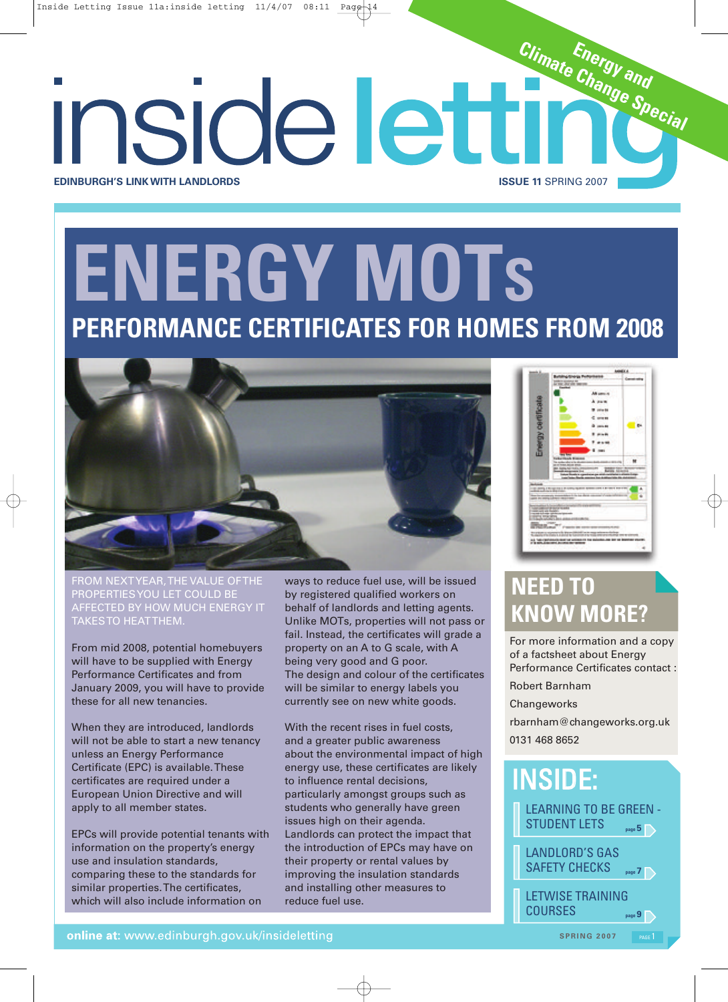# **ENERGY MOTS PERFORMANCE CERTIFICATES FOR HOMES FROM 2008**

**EDINBURGH'S LINKWITH LANDLORDS ISSUE 11** SPRING 2007



FROM NEXTYEAR,THE VALUE OFTHE PROPERTIESYOU LET COULD BE AFFECTED BY HOW MUCH ENERGY IT TAKESTO HEATTHEM.

From mid 2008, potential homebuyers will have to be supplied with Energy Performance Certificates and from January 2009, you will have to provide these for all new tenancies.

When they are introduced, landlords will not be able to start a new tenancy unless an Energy Performance Certificate (EPC) is available.These certificates are required under a European Union Directive and will apply to all member states.

EPCs will provide potential tenants with information on the property's energy use and insulation standards, comparing these to the standards for similar properties.The certificates, which will also include information on

ways to reduce fuel use, will be issued by registered qualified workers on behalf of landlords and letting agents. Unlike MOTs, properties will not pass or fail. Instead, the certificates will grade a property on an A to G scale, with A being very good and G poor. The design and colour of the certificates will be similar to energy labels you currently see on new white goods.

With the recent rises in fuel costs, and a greater public awareness about the environmental impact of high energy use, these certificates are likely to influence rental decisions, particularly amongst groups such as students who generally have green issues high on their agenda. Landlords can protect the impact that the introduction of EPCs may have on their property or rental values by improving the insulation standards and installing other measures to reduce fuel use.



**Energy and Climate Change Special**

## **NEED TO KNOW MORE?**

For more information and a copy of a factsheet about Energy Performance Certificates contact :

Robert Barnham

**Changeworks** 

rbarnham@changeworks.org.uk 0131 468 8652

## INSIDE:



 $SPRING 2007$ 

online at: www.edinburgh.gov.uk/insideletting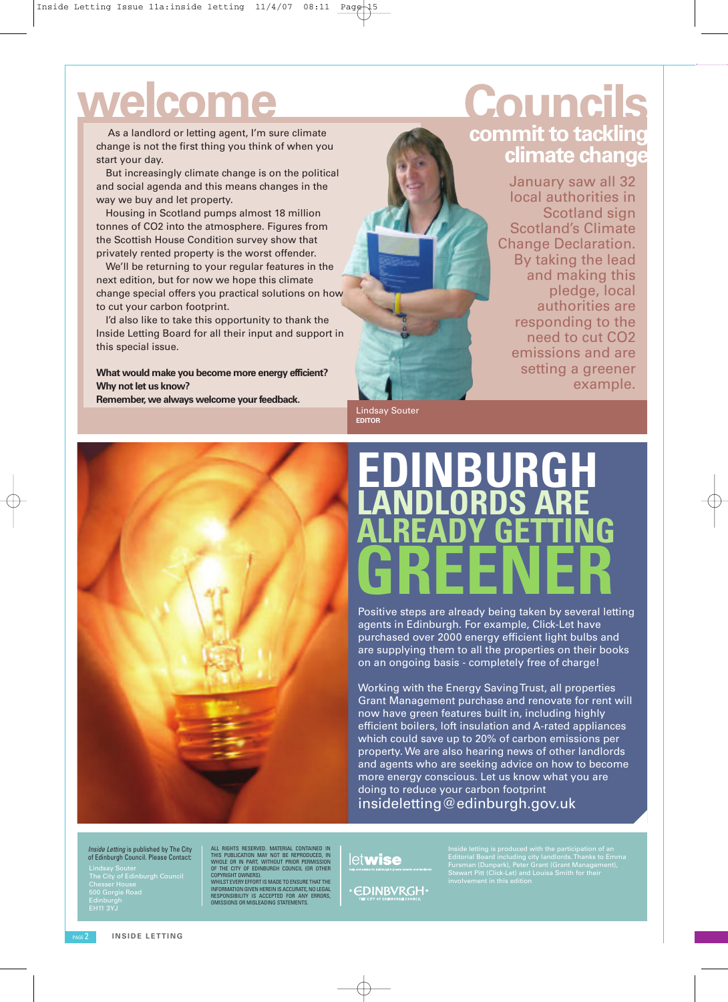# **welcome Councils**

As a landlord or letting agent, I'm sure climate change is not the first thing you think of when you start your day.

But increasingly climate change is on the political and social agenda and this means changes in the way we buy and let property.

Housing in Scotland pumps almost 18 million tonnes of CO2 into the atmosphere. Figures from the Scottish House Condition survey show that privately rented property is the worst offender.

We'll be returning to your regular features in the next edition, but for now we hope this climate change special offers you practical solutions on how to cut your carbon footprint.

I'd also like to take this opportunity to thank the Inside Letting Board for all their input and support in this special issue.

**What would make you become more energy efficient? Why** not let us know?

**Remember, we always welcome your feedback.** 

# **commit to tackling climate change**

January saw all 32 local authorities in Scotland sign Scotland's Climate Change Declaration. By taking the lead and making this pledge, local authorities are responding to the need to cut CO2 emissions and are setting a greener example.

Lindsay Souter **EDITOR**

## **EDINBURGH LANDLORDS ARE ALREADY GETTING GREENER**

Positive steps are already being taken by several letting agents in Edinburgh. For example, Click-Let have purchased over 2000 energy efficient light bulbs and are supplying them to all the properties on their books on an ongoing basis - completely free of charge!

Working with the Energy SavingTrust, all properties Grant Management purchase and renovate for rent will now have green features built in, including highly efficient boilers, loft insulation and A-rated appliances which could save up to 20% of carbon emissions per property. We are also hearing news of other landlords and agents who are seeking advice on how to become more energy conscious. Let us know what you are doing to reduce your carbon footprint insideletting@edinburgh.gov.uk

*Inside Letting* is published by The City of Edinburgh Council. Please Contact:

Lindsay Souter<br>The City of Edinburgh Cou<br>Chesser House<br>500 Gorgie Road Edinburgh<br>EH11 3YJ Lindsay Souter The City of Edinburgh Council Chesser House 500 Gorgie Road ALL RIGHTS RESERVED. MATERIAL CONTAINED IN<br>THIS PUBLICATION MAY NOT BE REPRODUCED, IN<br>WHOLE OR IN PART, WITHOUT PRIOR PERMISSION<br>OF THE CITY OF EDINBURGH COUNCIL (OR OTHER

COPYRIGHT OWNERS).<br>WHILST EVERY EFFORT IS MADE TO ENSURE THAT THE<br>INFORMATION GIVEN HEREIN IS ACCURATE, NO LEGAL<br>RESPONSIBILITY IS ACCEPTED FOR ANY ERRORS,<br>OMISSIONS OR MISLEADING STATEMENTS.

letwise

**·CDINBVRGH·** 

Inside letting is produced with the participation of an Editorial Board including city landlords.Thanks to Emma Fursman (Dunpark), Peter Grant (Grant Management), Stewart Pitt (Click-Let) and Louisa Smith for their

**INSIDE LETTING**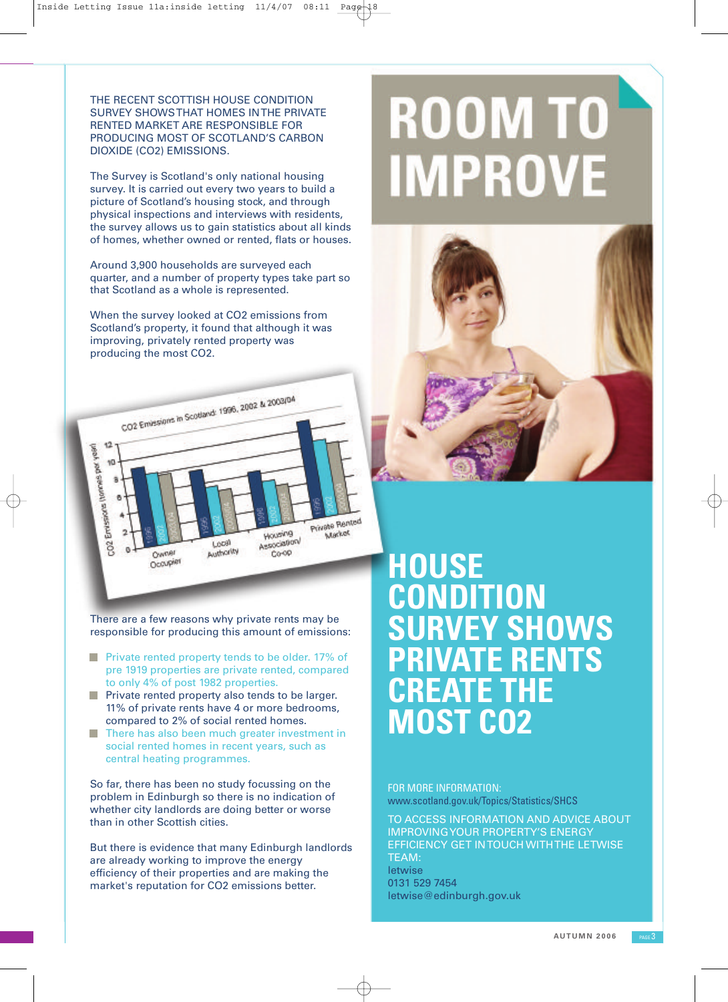THE RECENT SCOTTISH HOUSE CONDITION SURVEY SHOWSTHAT HOMES INTHE PRIVATE RENTED MARKET ARE RESPONSIBLE FOR PRODUCING MOST OF SCOTLAND'S CARBON DIOXIDE (CO2) EMISSIONS.

The Survey is Scotland's only national housing survey. It is carried out every two years to build a picture of Scotland's housing stock, and through physical inspections and interviews with residents, the survey allows us to gain statistics about all kinds of homes, whether owned or rented, flats or houses.

Around 3,900 households are surveyed each quarter, and a number of property types take part so that Scotland as a whole is represented.

When the survey looked at CO2 emissions from Scotland's property, it found that although it was improving, privately rented property was producing the most CO2.



There are a few reasons why private rents may be responsible for producing this amount of emissions:

- **Private rented property tends to be older. 17% of** pre 1919 properties are private rented, compared to only 4% of post 1982 properties.
- $\blacksquare$  Private rented property also tends to be larger. 11% of private rents have 4 or more bedrooms, compared to 2% of social rented homes.
- **There has also been much greater investment in** social rented homes in recent years, such as central heating programmes.

So far, there has been no study focussing on the problem in Edinburgh so there is no indication of whether city landlords are doing better or worse than in other Scottish cities.

But there is evidence that many Edinburgh landlords are already working to improve the energy efficiency of their properties and are making the market's reputation for CO2 emissions better.

# **ROOM TO IMPROVE**



## **HOUSE CONDITION SURVEY SHOWS PRIVATE RENTS CREATE THE MOST CO2**

FOR MORE INFORMATION: www.scotland.gov.uk/Topics/Statistics/SHCS

TO ACCESS INFORMATION AND ADVICE ABOUT IMPROVINGYOUR PROPERTY'S ENERGY EFFICIENCY GET INTOUCH WITHTHE LETWISE TEAM: letwise 0131 529 7454 letwise@edinburgh.gov.uk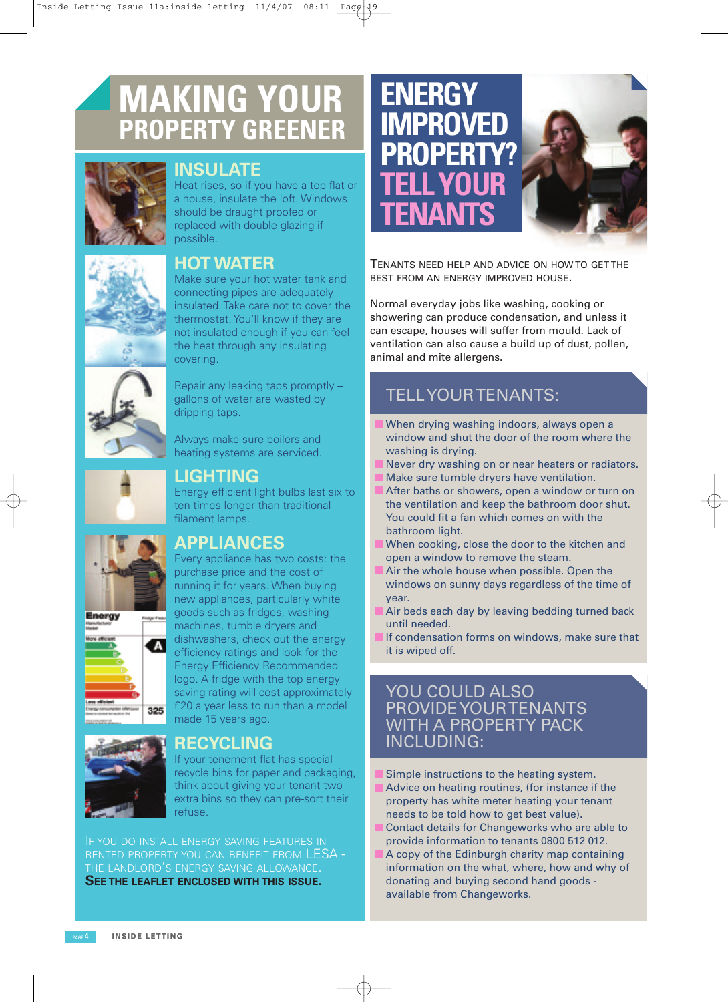## **MAKING YOUR PROPERTY GREENER**



### **INSULATE**

Heat rises, so if you have a top flat or a house, insulate the loft. Windows should be draught proofed or replaced with double glazing if possible.

### **HOTWATER**

Make sure your hot water tank and connecting pipes are adequately insulated. Take care not to cover the thermostat. You'll know if they are not insulated enough if you can feel the heat through any insulating covering.

Repair any leaking taps promptly – gallons of water are wasted by dripping taps.

Always make sure boilers and heating systems are serviced.



### **LIGHTING**

Energy efficient light bulbs last six to ten times longer than traditional filament lamps.

### **APPLIANCES**



Every appliance has two costs: the purchase price and the cost of running it for years. When buying new appliances, particularly white goods such as fridges, washing machines, tumble dryers and dishwashers, check out the energy efficiency ratings and look for the Energy Efficiency Recommended logo. A fridge with the top energy saving rating will cost approximately £20 a year less to run than a model made 15 years ago.



### **RECYCLING**

If your tenement flat has special recycle bins for paper and packaging, think about giving your tenant two extra bins so they can pre-sort their refuse.

IF YOU DO INSTALL ENERGY SAVING FEATURES IN RENTED PROPERTY YOU CAN BENEFIT FROM LESA - THE LANDLORD'S ENERGY SAVING ALLOWANCE. **SEE THE LEAFLET ENCLOSED WITH THIS ISSUE.**



TENANTS NEED HELP AND ADVICE ON HOW TO GET THE BEST FROM AN ENERGY IMPROVED HOUSE.

Normal everyday jobs like washing, cooking or showering can produce condensation, and unless it can escape, houses will suffer from mould. Lack of ventilation can also cause a build up of dust, pollen, animal and mite allergens.

### TELLYOURTENANTS:

- When drying washing indoors, always open a window and shut the door of the room where the washing is drying.
- Never dry washing on or near heaters or radiators.
- Make sure tumble dryers have ventilation.
- After baths or showers, open a window or turn on the ventilation and keep the bathroom door shut. You could fit a fan which comes on with the bathroom light.
- When cooking, close the door to the kitchen and open a window to remove the steam.
- Air the whole house when possible. Open the windows on sunny days regardless of the time of year.
- Air beds each day by leaving bedding turned back until needed.
- If condensation forms on windows, make sure that it is wiped off.

### YOU COULD ALSO PROVIDEYOURTENANTS WITH A PROPERTY PACK INCLUDING:

- Simple instructions to the heating system.
- Advice on heating routines, (for instance if the property has white meter heating your tenant needs to be told how to get best value).
- Contact details for Changeworks who are able to provide information to tenants 0800 512 012.
- A copy of the Edinburgh charity map containing information on the what, where, how and why of donating and buying second hand goods available from Changeworks.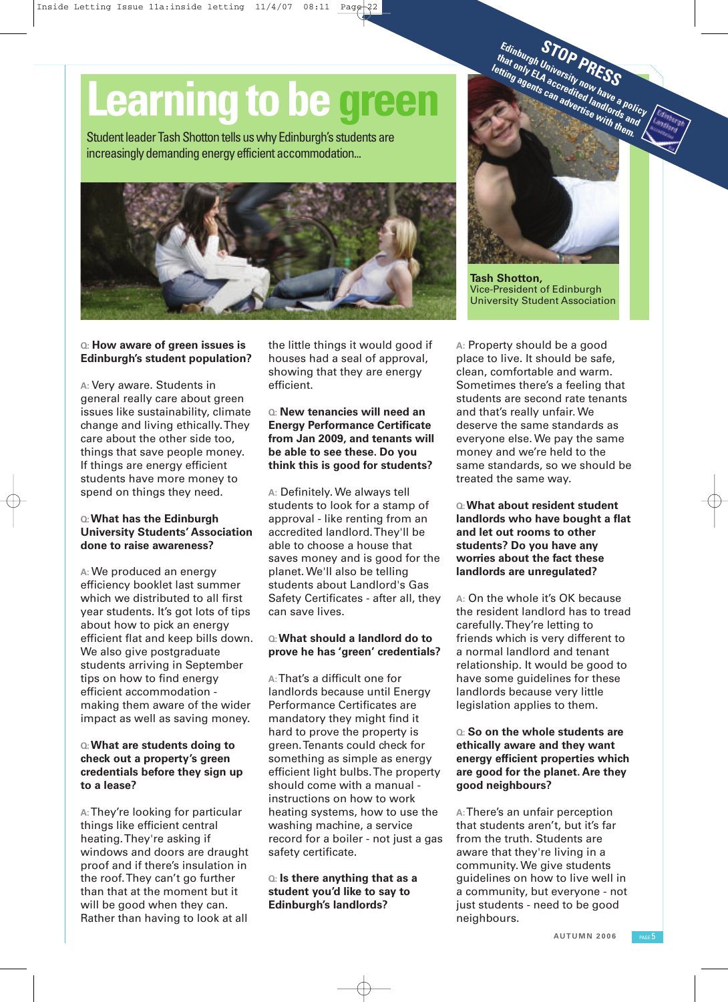# **Learning to be green**

Student leader Tash Shotton tells us why Edinburgh's students are increasingly demanding energy efficient accommodation...



### **Q: How aware of green issues is Edinburgh's student population?**

**A:** Very aware. Students in general really care about green issues like sustainability, climate change and living ethically.They care about the other side too, things that save people money. If things are energy efficient students have more money to spend on things they need.

### **Q:What has the Edinburgh University Students' Association done to raise awareness?**

**A:** We produced an energy efficiency booklet last summer which we distributed to all first year students. It's got lots of tips about how to pick an energy efficient flat and keep bills down. We also give postgraduate students arriving in September tips on how to find energy efficient accommodation making them aware of the wider impact as well as saving money.

### **Q:What are students doing to check out a property's green credentials before they sign up to a lease?**

**A:**They're looking for particular things like efficient central heating.They're asking if windows and doors are draught proof and if there's insulation in the roof.They can't go further than that at the moment but it will be good when they can. Rather than having to look at all the little things it would good if houses had a seal of approval, showing that they are energy efficient.

**Q: New tenancies will need an Energy Performance Certificate from Jan 2009, and tenants will be able to see these. Do you think this is good for students?**

**A:** Definitely. We always tell students to look for a stamp of approval - like renting from an accredited landlord.They'll be able to choose a house that saves money and is good for the planet. We'll also be telling students about Landlord's Gas Safety Certificates - after all, they can save lives.

### **Q:What should a landlord do to prove he has 'green' credentials?**

**A:**That's a difficult one for landlords because until Energy Performance Certificates are mandatory they might find it hard to prove the property is green.Tenants could check for something as simple as energy efficient light bulbs.The property should come with a manual instructions on how to work heating systems, how to use the washing machine, a service record for a boiler - not just a gas safety certificate.

### **Q: Is there anything that as a student you'd like to say to Edinburgh's landlords?**



**STOP PRESS Edinburgh University now have <sup>a</sup> policy that only ELA accredited landlords and**

**Tash Shotton,** Vice-President of Edinburgh University Student Association

**A:** Property should be a good place to live. It should be safe, clean, comfortable and warm. Sometimes there's a feeling that students are second rate tenants and that's really unfair. We deserve the same standards as everyone else. We pay the same money and we're held to the same standards, so we should be treated the same way.

### **Q:What about resident student landlords who have bought a flat and let out rooms to other students? Do you have any worries about the fact these landlords are unregulated?**

**A:** On the whole it's OK because the resident landlord has to tread carefully.They're letting to friends which is very different to a normal landlord and tenant relationship. It would be good to have some guidelines for these landlords because very little legislation applies to them.

### **Q: So on the whole students are ethically aware and they want energy efficient properties which are good for the planet. Are they good neighbours?**

**A:**There's an unfair perception that students aren't, but it's far from the truth. Students are aware that they're living in a community. We give students guidelines on how to live well in a community, but everyone - not just students - need to be good neighbours.

**AUTUMN 2 0 0 6** PAGE 5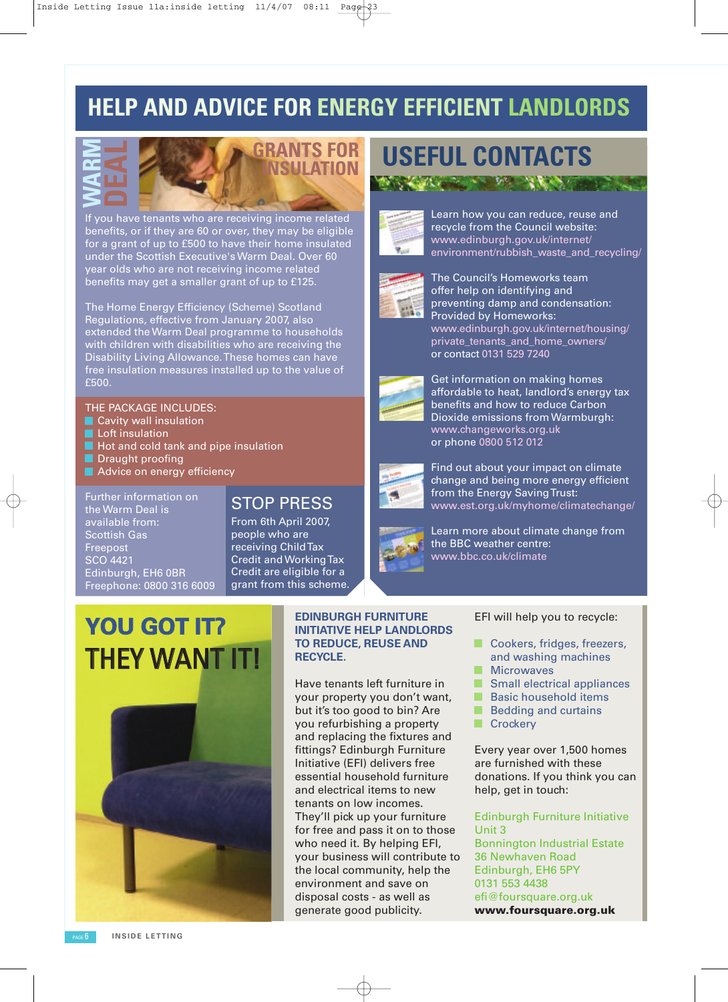### **HELP AND ADVICE FOR ENERGY EFFICIENT LANDLORDS**



**GRANTS FOR**

If you have tenants who are receiving income related benefits, or if they are 60 or over, they may be eligible for a grant of up to £500 to have their home insulated under the Scottish Executive's Warm Deal. Over 60 year olds who are not receiving income related benefits may get a smaller grant of up to £125.

The Home Energy Efficiency (Scheme) Scotland Regulations, effective from January 2007, also extended the Warm Deal programme to households with children with disabilities who are receiving the Disability Living Allowance.These homes can have free insulation measures installed up to the value of £500.

### THE PACKAGE INCLUDES:

- Cavity wall insulation
- Loft insulation
- Hot and cold tank and pipe insulation
- Draught proofing
- Advice on energy efficiency

Further information on the Warm Deal is available from: Scottish Gas Freepost SCO 4421 Edinburgh, EH6 0BR Freephone: 0800 316 6009

### STOP PRESS

From 6th April 2007, people who are receiving ChildTax Credit and WorkingTax Credit are eligible for a grant from this scheme.

## **YOU GOT IT?** THEY WANT IT!



### **EDINBURGH FURNITURE INITIATIVE HELP LANDLORDS TO REDUCE, REUSE AND RECYCLE.**

Have tenants left furniture in your property you don't want, but it's too good to bin? Are you refurbishing a property and replacing the fixtures and fittings? Edinburgh Furniture Initiative (EFI) delivers free essential household furniture and electrical items to new tenants on low incomes. They'll pick up your furniture for free and pass it on to those who need it. By helping EFI, your business will contribute to the local community, help the environment and save on disposal costs - as well as generate good publicity.

# **INSULATION USEFUL CONTACTS**



Learn how you can reduce, reuse and recycle from the Council website: www.edinburgh.gov.uk/internet/ environment/rubbish\_waste\_and\_recycling/



The Council's Homeworks team offer help on identifying and preventing damp and condensation: Provided by Homeworks: www.edinburgh.gov.uk/internet/housing/ private\_tenants\_and\_home\_owners/ or contact 0131 529 7240



Get information on making homes affordable to heat, landlord's energy tax benefits and how to reduce Carbon Dioxide emissions from Warmburgh: www.changeworks.org.uk or phone 0800 512 012



Find out about your impact on climate change and being more energy efficient from the Energy Saving Trust: www.est.org.uk/myhome/climatechange/



Learn more about climate change from the BBC weather centre: www.bbc.co.uk/climate

### EFI will help you to recycle:

- Cookers, fridges, freezers, and washing machines
- **Microwaves**
- Small electrical appliances
- **Basic household items**
- Bedding and curtains
- Crockery

Every year over 1,500 homes are furnished with these donations. If you think you can help, get in touch:

### Edinburgh Furniture Initiative Unit 3

Bonnington Industrial Estate 36 Newhaven Road Edinburgh, EH6 5PY 0131 553 4438 efi@foursquare.org.uk **www.foursquare.org.uk**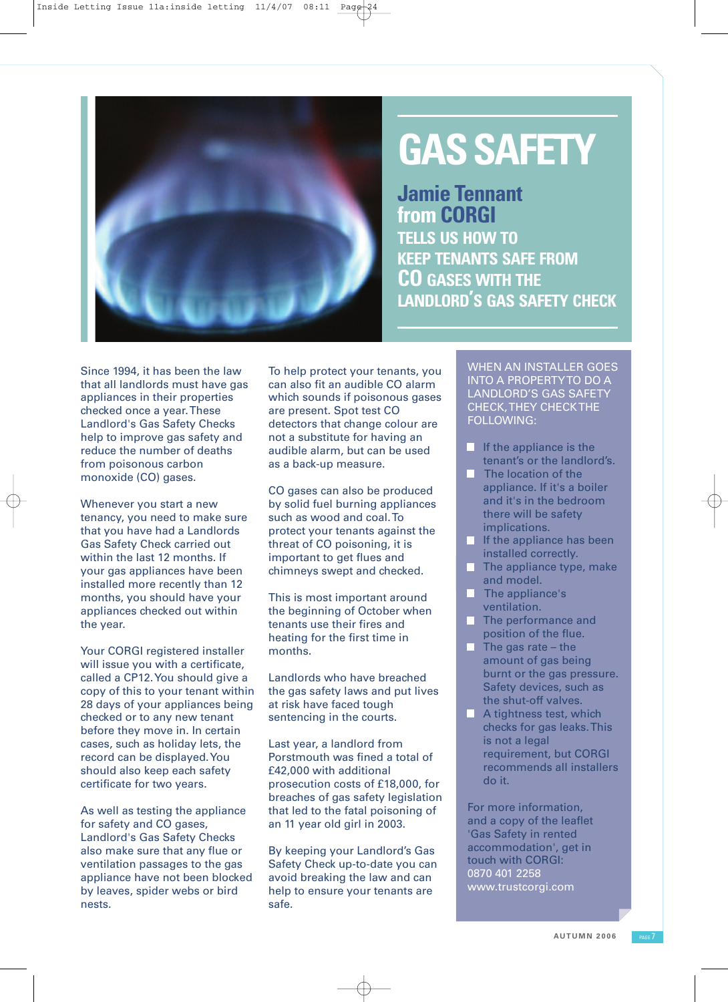

## **GASSAFETY**

**Jamie Tennant from CORGI TELLS US HOW TO KEEP TENANTS SAFE FROM CO GASES WITH THE LANDLORD'S GAS SAFETY CHECK**

Since 1994, it has been the law that all landlords must have gas appliances in their properties checked once a year.These Landlord's Gas Safety Checks help to improve gas safety and reduce the number of deaths from poisonous carbon monoxide (CO) gases.

Whenever you start a new tenancy, you need to make sure that you have had a Landlords Gas Safety Check carried out within the last 12 months. If your gas appliances have been installed more recently than 12 months, you should have your appliances checked out within the year.

Your CORGI registered installer will issue you with a certificate, called a CP12.You should give a copy of this to your tenant within 28 days of your appliances being checked or to any new tenant before they move in. In certain cases, such as holiday lets, the record can be displayed.You should also keep each safety certificate for two years.

As well as testing the appliance for safety and CO gases, Landlord's Gas Safety Checks also make sure that any flue or ventilation passages to the gas appliance have not been blocked by leaves, spider webs or bird nests.

To help protect your tenants, you can also fit an audible CO alarm which sounds if poisonous gases are present. Spot test CO detectors that change colour are not a substitute for having an audible alarm, but can be used as a back-up measure.

CO gases can also be produced by solid fuel burning appliances such as wood and coal.To protect your tenants against the threat of CO poisoning, it is important to get flues and chimneys swept and checked.

This is most important around the beginning of October when tenants use their fires and heating for the first time in months.

Landlords who have breached the gas safety laws and put lives at risk have faced tough sentencing in the courts.

Last year, a landlord from Porstmouth was fined a total of £42,000 with additional prosecution costs of £18,000, for breaches of gas safety legislation that led to the fatal poisoning of an 11 year old girl in 2003.

By keeping your Landlord's Gas Safety Check up-to-date you can avoid breaking the law and can help to ensure your tenants are safe.

WHEN AN INSTALLER GOES INTO A PROPERTYTO DO A LANDLORD'S GAS SAFETY CHECK,THEY CHECKTHE FOLLOWING:

- **If the appliance is the**
- tenant's or the landlord's. The location of the appliance. If it's a boiler and it's in the bedroom there will be safety implications.
- **If the appliance has been** installed correctly.
- **The appliance type, make** and model.
- The appliance's ventilation.
- The performance and position of the flue.
- $\blacksquare$  The gas rate the amount of gas being burnt or the gas pressure. Safety devices, such as the shut-off valves.
- **A tightness test, which** checks for gas leaks.This is not a legal requirement, but CORGI recommends all installers do it.

For more information, and a copy of the leaflet 'Gas Safety in rented accommodation', get in touch with CORGI: 0870 401 2258 www.trustcorgi.com

**AUTUMN 2 0 0 6** PAGE 7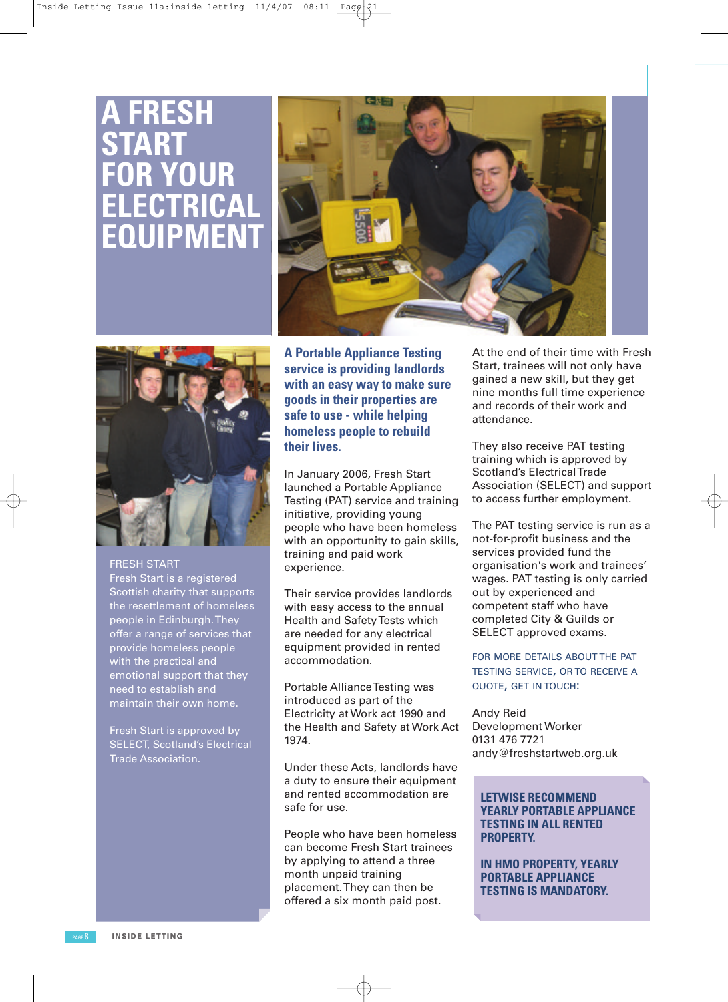## **A FRESH START FOR YOUR ELECTRICAL EQUIPMENT**





### FRESH START

Fresh Start is a registered Scottish charity that supports the resettlement of homeless people in Edinburgh. They offer a range of services that provide homeless people with the practical and emotional support that they need to establish and maintain their own home.

Fresh Start is approved by SELECT, Scotland's Electrical Trade Association.

**A Portable Appliance Testing service is providing landlords with an easy way to make sure goods in their properties are safe to use - while helping homeless people to rebuild their lives.**

In January 2006, Fresh Start launched a Portable Appliance Testing (PAT) service and training initiative, providing young people who have been homeless with an opportunity to gain skills, training and paid work experience.

Their service provides landlords with easy access to the annual Health and SafetyTests which are needed for any electrical equipment provided in rented accommodation.

Portable Alliance Testing was introduced as part of the Electricity at Work act 1990 and the Health and Safety at Work Act 1974.

Under these Acts, landlords have a duty to ensure their equipment and rented accommodation are safe for use.

People who have been homeless can become Fresh Start trainees by applying to attend a three month unpaid training placement.They can then be offered a six month paid post.

At the end of their time with Fresh Start, trainees will not only have gained a new skill, but they get nine months full time experience and records of their work and attendance.

They also receive PAT testing training which is approved by Scotland's ElectricalTrade Association (SELECT) and support to access further employment.

The PAT testing service is run as a not-for-profit business and the services provided fund the organisation's work and trainees' wages. PAT testing is only carried out by experienced and competent staff who have completed City & Guilds or SELECT approved exams.

FOR MORE DETAILS ABOUT THE PAT TESTING SERVICE, OR TO RECEIVE A QUOTE, GET IN TOUCH:

Andy Reid Development Worker 0131 476 7721 andy@freshstartweb.org.uk

### **LETWISE RECOMMEND YEARLY PORTABLE APPLIANCE TESTING IN ALL RENTED PROPERTY.**

**IN HMO PROPERTY, YEARLY PORTABLE APPLIANCE TESTING IS MANDATORY.**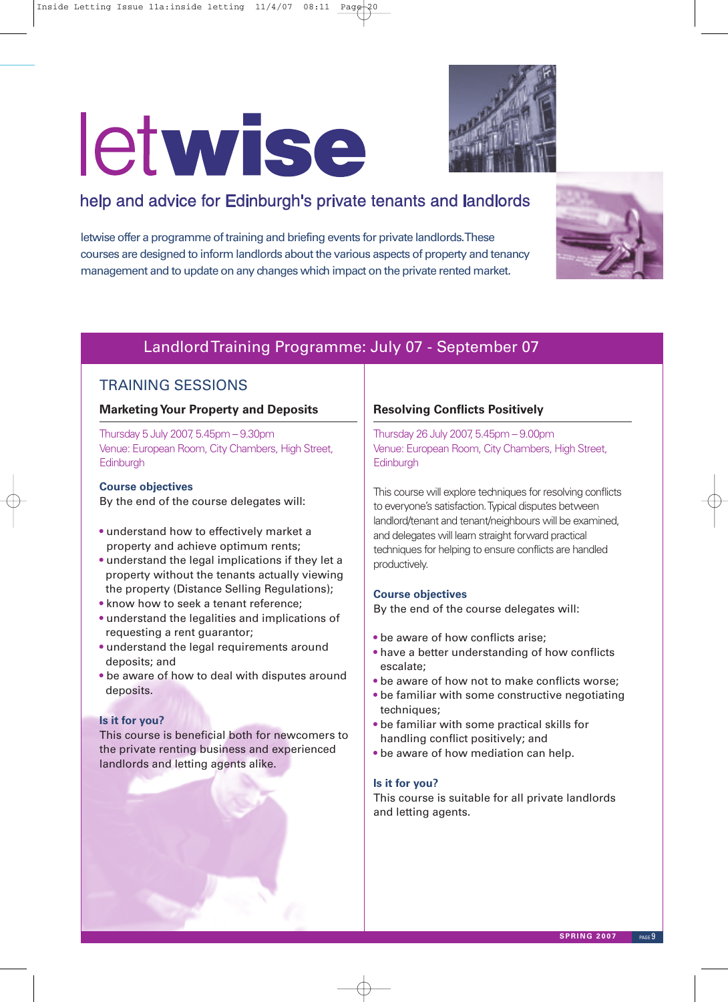# letwise



### help and advice for Edinburgh's private tenants and landlords

letwise offer a programme of training and briefing events for private landlords.These courses are designed to inform landlords about the various aspects of property and tenancy management and to update on any changes which impact on the private rented market.



### LandlordTraining Programme: July 07 - September 07

### TRAINING SESSIONS

### **MarketingYour Property and Deposits**

Thursday 5 July 2007, 5.45pm – 9.30pm Venue: European Room, City Chambers, High Street, **Edinburgh** 

### **Course objectives**

By the end of the course delegates will:

- understand how to effectively market a property and achieve optimum rents;
- understand the legal implications if they let a property without the tenants actually viewing the property (Distance Selling Regulations);
- know how to seek a tenant reference;
- understand the legalities and implications of requesting a rent guarantor;
- understand the legal requirements around deposits; and
- be aware of how to deal with disputes around deposits.

### **Is it for you?**

This course is beneficial both for newcomers to the private renting business and experienced landlords and letting agents alike.

### **Resolving Conflicts Positively**

Thursday 26 July 2007, 5.45pm – 9.00pm Venue: European Room, City Chambers, High Street, **Edinburgh** 

This course will explore techniques for resolving conflicts to everyone's satisfaction.Typical disputes between landlord/tenant and tenant/neighbours will be examined, and delegates will learn straight forward practical techniques for helping to ensure conflicts are handled productively.

### **Course objectives**

By the end of the course delegates will:

- be aware of how conflicts arise;
- have a better understanding of how conflicts escalate;
- be aware of how not to make conflicts worse;
- be familiar with some constructive negotiating techniques;
- be familiar with some practical skills for handling conflict positively; and
- be aware of how mediation can help.

### **Is it for you?**

This course is suitable for all private landlords and letting agents.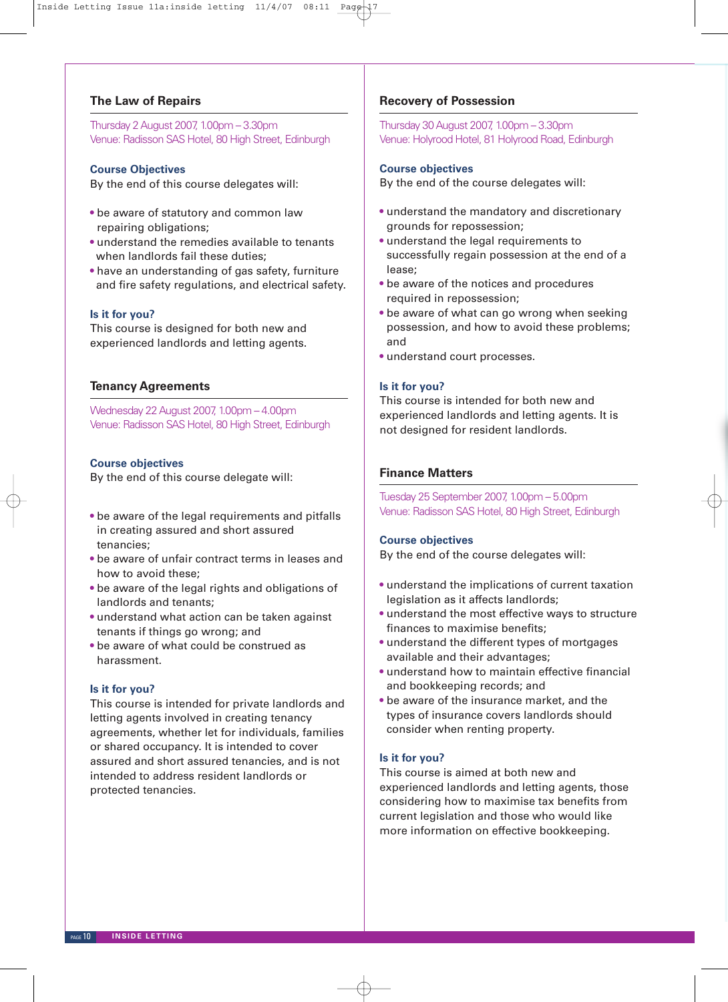### **The Law of Repairs**

Thursday 2August 2007, 1.00pm – 3.30pm Venue: Radisson SAS Hotel, 80 High Street, Edinburgh

### **Course Objectives**

By the end of this course delegates will:

- be aware of statutory and common law repairing obligations;
- understand the remedies available to tenants when landlords fail these duties;
- have an understanding of gas safety, furniture and fire safety regulations, and electrical safety.

### **Is it for you?**

This course is designed for both new and experienced landlords and letting agents.

### **Tenancy Agreements**

Wednesday 22August 2007, 1.00pm – 4.00pm Venue: Radisson SAS Hotel, 80 High Street, Edinburgh

### **Course objectives**

By the end of this course delegate will:

- be aware of the legal requirements and pitfalls in creating assured and short assured tenancies;
- be aware of unfair contract terms in leases and how to avoid these;
- be aware of the legal rights and obligations of landlords and tenants;
- understand what action can be taken against tenants if things go wrong; and
- be aware of what could be construed as harassment.

#### **Is it for you?**

This course is intended for private landlords and letting agents involved in creating tenancy agreements, whether let for individuals, families or shared occupancy. It is intended to cover assured and short assured tenancies, and is not intended to address resident landlords or protected tenancies.

### **Recovery of Possession**

Thursday 30August 2007, 1.00pm – 3.30pm Venue: Holyrood Hotel, 81 Holyrood Road, Edinburgh

### **Course objectives**

By the end of the course delegates will:

- understand the mandatory and discretionary grounds for repossession;
- understand the legal requirements to successfully regain possession at the end of a lease;
- be aware of the notices and procedures required in repossession;
- be aware of what can go wrong when seeking possession, and how to avoid these problems; and
- understand court processes.

### **Is it for you?**

This course is intended for both new and experienced landlords and letting agents. It is not designed for resident landlords.

### **Finance Matters**

Tuesday 25 September 2007, 1.00pm – 5.00pm Venue: Radisson SAS Hotel, 80 High Street, Edinburgh

### **Course objectives**

By the end of the course delegates will:

- understand the implications of current taxation legislation as it affects landlords;
- understand the most effective ways to structure finances to maximise benefits;
- understand the different types of mortgages available and their advantages;
- understand how to maintain effective financial and bookkeeping records; and
- be aware of the insurance market, and the types of insurance covers landlords should consider when renting property.

#### **Is it for you?**

This course is aimed at both new and experienced landlords and letting agents, those considering how to maximise tax benefits from current legislation and those who would like more information on effective bookkeeping.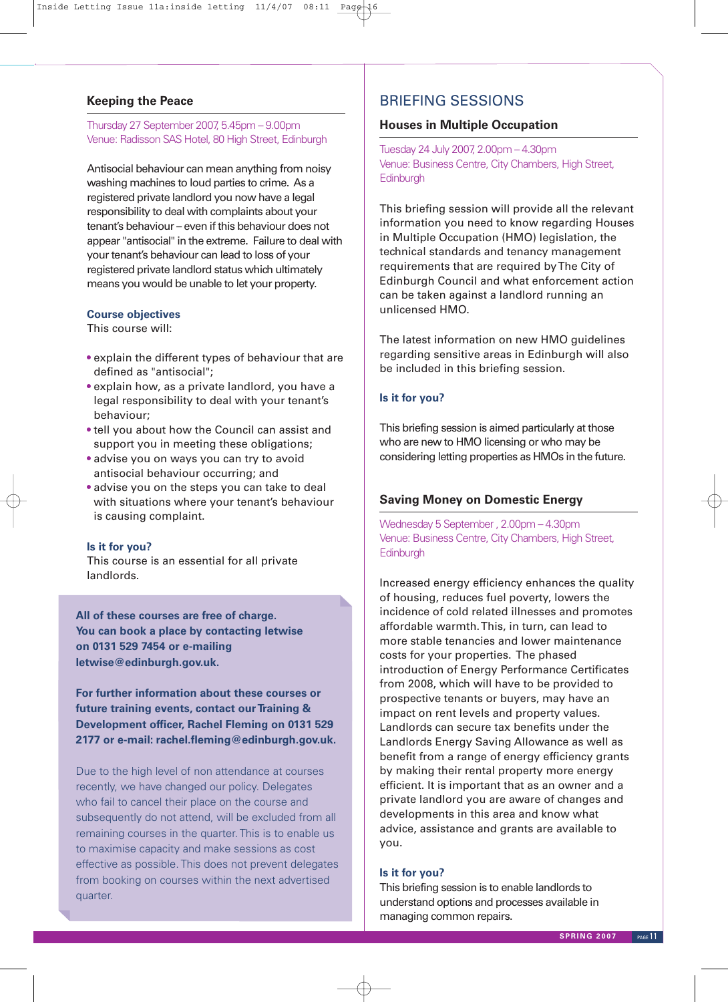### **Keeping the Peace**

Thursday 27 September 2007, 5.45pm – 9.00pm Venue: Radisson SAS Hotel, 80 High Street, Edinburgh

Antisocial behaviour can mean anything from noisy washing machines to loud parties to crime. As a registered private landlord you now have a legal responsibility to deal with complaints about your tenant's behaviour – even if this behaviour does not appear "antisocial" in the extreme. Failure to deal with your tenant's behaviour can lead to loss of your registered private landlord status which ultimately means you would be unable to let your property.

### **Course objectives**

This course will:

- explain the different types of behaviour that are defined as "antisocial";
- explain how, as a private landlord, you have a legal responsibility to deal with your tenant's behaviour;
- tell you about how the Council can assist and support you in meeting these obligations;
- advise you on ways you can try to avoid antisocial behaviour occurring; and
- advise you on the steps you can take to deal with situations where your tenant's behaviour is causing complaint.

### **Is it for you?**

This course is an essential for all private landlords.

**All of these courses are free of charge. You can book a place by contacting letwise on 0131 529 7454 or e-mailing letwise@edinburgh.gov.uk.**

**For further information about these courses or future training events, contact ourTraining & Development officer, Rachel Fleming on 0131 529 2177 or e-mail: rachel.fleming@edinburgh.gov.uk.**

Due to the high level of non attendance at courses recently, we have changed our policy. Delegates who fail to cancel their place on the course and subsequently do not attend, will be excluded from all remaining courses in the quarter. This is to enable us to maximise capacity and make sessions as cost effective as possible. This does not prevent delegates from booking on courses within the next advertised quarter.

### BRIEFING SESSIONS

### **Houses in Multiple Occupation**

Tuesday 24 July 2007, 2.00pm – 4.30pm Venue: Business Centre, City Chambers, High Street, **Edinburgh** 

This briefing session will provide all the relevant information you need to know regarding Houses in Multiple Occupation (HMO) legislation, the technical standards and tenancy management requirements that are required byThe City of Edinburgh Council and what enforcement action can be taken against a landlord running an unlicensed HMO.

The latest information on new HMO guidelines regarding sensitive areas in Edinburgh will also be included in this briefing session.

### **Is it for you?**

This briefing session is aimed particularly at those who are new to HMO licensing or who may be considering letting properties as HMOs in the future.

### **Saving Money on Domestic Energy**

Wednesday 5 September , 2.00pm – 4.30pm Venue: Business Centre, City Chambers, High Street, **Edinburgh** 

Increased energy efficiency enhances the quality of housing, reduces fuel poverty, lowers the incidence of cold related illnesses and promotes affordable warmth.This, in turn, can lead to more stable tenancies and lower maintenance costs for your properties. The phased introduction of Energy Performance Certificates from 2008, which will have to be provided to prospective tenants or buyers, may have an impact on rent levels and property values. Landlords can secure tax benefits under the Landlords Energy Saving Allowance as well as benefit from a range of energy efficiency grants by making their rental property more energy efficient. It is important that as an owner and a private landlord you are aware of changes and developments in this area and know what advice, assistance and grants are available to you.

### **Is it for you?**

This briefing session is to enable landlords to understand options and processes available in managing common repairs.